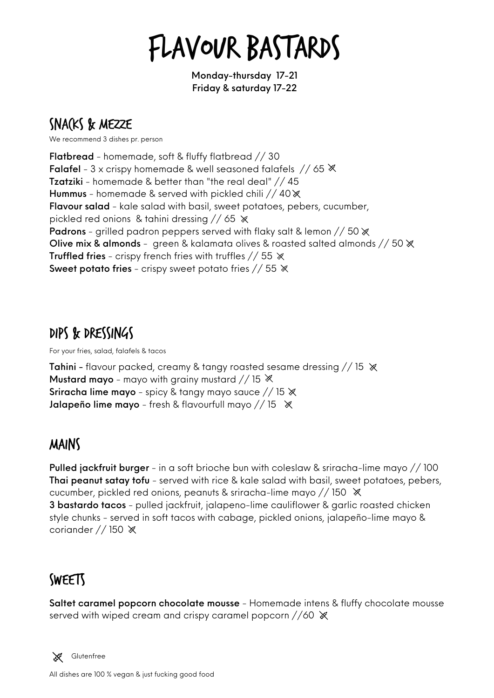# Flavour Bastards

Monday-thursday 17-21 Friday & saturday 17-22

# SNACKS & MEZZE

We recommend 3 dishes pr. person

Flatbread - homemade, soft & fluffy flatbread // 30 **Falafel** - 3 x crispy homemade & well seasoned falafels // 65  $\mathbb{X}$ Tzatziki - homemade & better than "the real deal" // 45 Hummus - homemade & served with pickled chili  $//40$   $\%$ [Flavour salad](https://www.google.com/search?sxsrf=ALeKk02cNGnEeLM-xWnalEEYJZ6eqkvDWQ:1623095561578&q=Moroccan+salad&spell=1&sa=X&ved=2ahUKEwixhomTpobxAhVnlosKHbkvAG0QkeECKAB6BAgBEDU) - kale salad with basil, sweet potatoes, pebers, cucumber, pickled red onions & tahini dressing // 65  $\ast$ Padrons - grilled padron peppers served with flaky salt & lemon // 50  $\mathbb X$ Olive mix & almonds - green & kalamata olives & roasted salted almonds // 50 **Truffled fries** - crispy french fries with truffles  $// 55 \times$ Sweet potato fries - crispy sweet potato fries // 55  $\%$ 

### Dips & dressings

For your fries, salad, falafels & tacos

**Tahini** - flavour packed, creamy & tangy roasted sesame dressing  $// 15 \times$ **Mustard mayo** - mayo with grainy mustard // 15  $\%$ **Sriracha lime mayo** - spicy & tangy mayo sauce  $//$  15  $\mathbb{\times}$ **Jalapeño lime mayo** - fresh & flavourfull mayo // 15  $\%$ 

#### Mains

Pulled jackfruit burger - in a soft brioche bun with coleslaw & sriracha-lime mayo // 100 Thai peanut satay tofu - served with rice & kale salad with basil, sweet potatoes, pebers, cucumber, pickled red onions, peanuts & sriracha-lime mayo // 150 3 bastardo tacos - pulled jackfruit, jalapeno-lime cauliflower & garlic roasted chicken style chunks - served in soft tacos with cabage, pickled onions, jalapeño-lime mayo & coriander  $//$  150  $%$ 

# **SWEETS**

Saltet caramel popcorn chocolate mousse - Homemade intens & fluffy chocolate mousse served with wiped cream and crispy caramel popcorn //60  $\aleph$